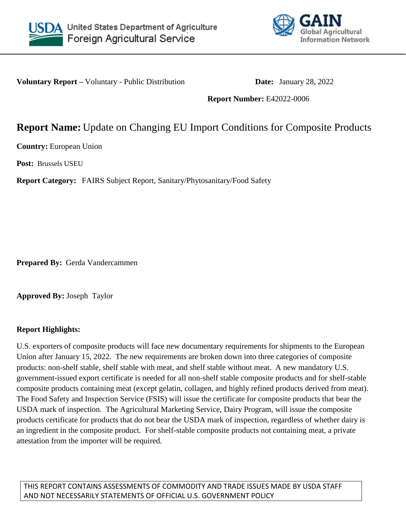



**Voluntary Report –** Voluntary - Public Distribution **Date:** January 28, 2022

**Report Number:** E42022-0006

# **Report Name:** Update on Changing EU Import Conditions for Composite Products

**Country:** European Union

**Post:** Brussels USEU

**Report Category:** FAIRS Subject Report, Sanitary/Phytosanitary/Food Safety

**Prepared By:** Gerda Vandercammen

**Approved By:** Joseph Taylor

# **Report Highlights:**

U.S. exporters of composite products will face new documentary requirements for shipments to the European Union after January 15, 2022. The new requirements are broken down into three categories of composite products: non-shelf stable, shelf stable with meat, and shelf stable without meat. A new mandatory U.S. government-issued export certificate is needed for all non-shelf stable composite products and for shelf-stable composite products containing meat (except gelatin, collagen, and highly refined products derived from meat). The Food Safety and Inspection Service (FSIS) will issue the certificate for composite products that bear the USDA mark of inspection. The Agricultural Marketing Service, Dairy Program, will issue the composite products certificate for products that do not bear the USDA mark of inspection, regardless of whether dairy is an ingredient in the composite product. For shelf-stable composite products not containing meat, a private attestation from the importer will be required.

THIS REPORT CONTAINS ASSESSMENTS OF COMMODITY AND TRADE ISSUES MADE BY USDA STAFF AND NOT NECESSARILY STATEMENTS OF OFFICIAL U.S. GOVERNMENT POLICY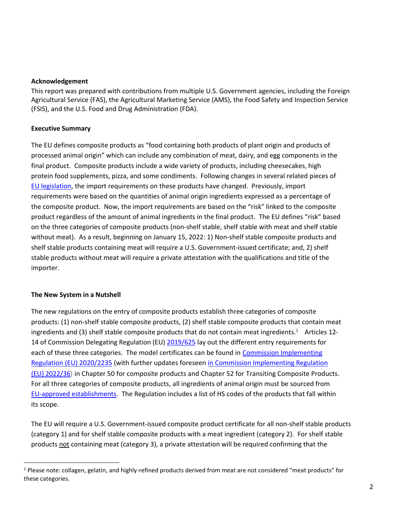#### **Acknowledgement**

This report was prepared with contributions from multiple U.S. Government agencies, including the Foreign Agricultural Service (FAS), the Agricultural Marketing Service (AMS), the Food Safety and Inspection Service (FSIS), and the U.S. Food and Drug Administration (FDA).

#### **Executive Summary**

The EU defines composite products as "food containing both products of plant origin and products of processed animal origin" which can include any combination of meat, dairy, and egg components in the final product. Composite products include a wide variety of products, including cheesecakes, high protein food supplements, pizza, and some condiments. Following changes in several related pieces of [EU legislation,](https://apps.fas.usda.gov/newgainapi/api/Report/DownloadReportByFileName?fileName=Changing%20EU%20Import%20Conditions%20for%20Composite%20Products_Brussels%20USEU_European%20Union_04-07-2021) the import requirements on these products have changed. Previously, import requirements were based on the quantities of animal origin ingredients expressed as a percentage of the composite product. Now, the import requirements are based on the "risk" linked to the composite product regardless of the amount of animal ingredients in the final product. The EU defines "risk" based on the three categories of composite products (non-shelf stable, shelf stable with meat and shelf stable without meat). As a result, beginning on January 15, 2022: 1) Non-shelf stable composite products and shelf stable products containing meat will require a U.S. Government-issued certificate; and, 2) shelf stable products without meat will require a private attestation with the qualifications and title of the importer.

## **The New System in a Nutshell**

 $\overline{\phantom{a}}$ 

The new regulations on the entry of composite products establish three categories of composite products: (1) non-shelf stable composite products, (2) shelf stable composite products that contain meat ingredients and (3) shelf stable composite products that do not contain meat ingredients.<sup>1</sup> Articles 12-14 of Commission Delegating Regulation (EU[\) 2019/625](https://eur-lex.europa.eu/legal-content/EN/TXT/?uri=CELEX%3A02019R0625-20210428) lay out the different entry requirements for each of these three categories. The model certificates can be found in [Commission Implementing](https://eur-lex.europa.eu/legal-content/EN/TXT/?uri=CELEX%3A02020R2235-20220107&qid=1643191401101)  [Regulation \(EU\) 2020/2235](https://eur-lex.europa.eu/legal-content/EN/TXT/?uri=CELEX%3A02020R2235-20220107&qid=1643191401101) (with further updates foresee[n in Commission Implementing Regulation](https://eur-lex.europa.eu/legal-content/EN/TXT/?uri=CELEX%3A32022R0036&qid=1643191571225)  [\(EU\) 2022/36](https://eur-lex.europa.eu/legal-content/EN/TXT/?uri=CELEX%3A32022R0036&qid=1643191571225)) in Chapter 50 for composite products and Chapter 52 for Transiting Composite Products. For all three categories of composite products, all ingredients of animal origin must be sourced from [EU-approved establishments.](https://webgate.ec.europa.eu/tracesnt/directory/publication/establishment/index#!/search?sort=country.translation) The Regulation includes a list of HS codes of the products that fall within its scope.

The EU will require a U.S. Government-issued composite product certificate for all non-shelf stable products (category 1) and for shelf stable composite products with a meat ingredient (category 2). For shelf stable products not containing meat (category 3), a private attestation will be required confirming that the

 $1$  Please note: collagen, gelatin, and highly-refined products derived from meat are not considered "meat products" for these categories.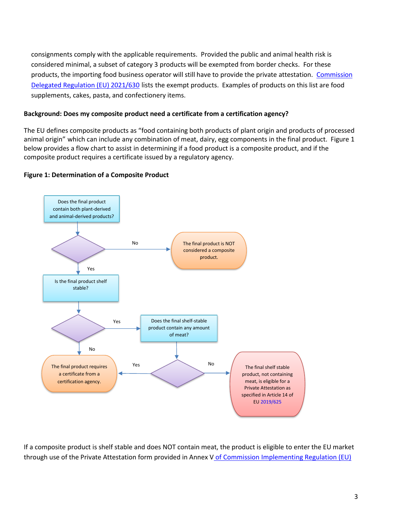consignments comply with the applicable requirements. Provided the public and animal health risk is considered minimal, a subset of category 3 products will be exempted from border checks. For these products, the importing food business operator will still have to provide the private attestation. [Commission](https://eur-lex.europa.eu/legal-content/EN/TXT/?uri=CELEX%3A32021R0630&qid=1643194743027)  [Delegated Regulation \(EU\) 2021/630](https://eur-lex.europa.eu/legal-content/EN/TXT/?uri=CELEX%3A32021R0630&qid=1643194743027) lists the exempt products. Examples of products on this list are food supplements, cakes, pasta, and confectionery items.

# **Background: Does my composite product need a certificate from a certification agency?**

The EU defines composite products as "food containing both products of plant origin and products of processed animal origin" which can include any combination of meat, dairy, egg components in the final product. Figure 1 below provides a flow chart to assist in determining if a food product is a composite product, and if the composite product requires a certificate issued by a regulatory agency.

# **Figure 1: Determination of a Composite Product**



If a composite product is shelf stable and does NOT contain meat, the product is eligible to enter the EU market through use of the Private Attestation form provided in Annex V o[f Commission Implementing Regulation \(EU\)](https://eur-lex.europa.eu/legal-content/EN/TXT/?uri=CELEX%3A02020R2235-20220107&qid=1643191401101)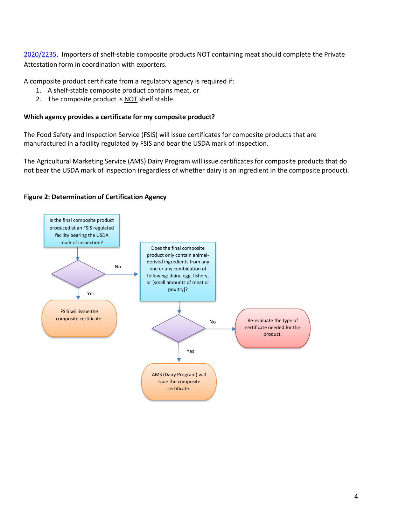[2020/2235.](https://eur-lex.europa.eu/legal-content/EN/TXT/?uri=CELEX%3A02020R2235-20220107&qid=1643191401101) Importers of shelf-stable composite products NOT containing meat should complete the Private Attestation form in coordination with exporters.

A composite product certificate from a regulatory agency is required if:

- 1. A shelf-stable composite product contains meat, or
- 2. The composite product is NOT shelf stable.

## **Which agency provides a certificate for my composite product?**

The Food Safety and Inspection Service (FSIS) will issue certificates for composite products that are manufactured in a facility regulated by FSIS and bear the USDA mark of inspection.

The Agricultural Marketing Service (AMS) Dairy Program will issue certificates for composite products that do not bear the USDA mark of inspection (regardless of whether dairy is an ingredient in the composite product).

## **Figure 2: Determination of Certification Agency**

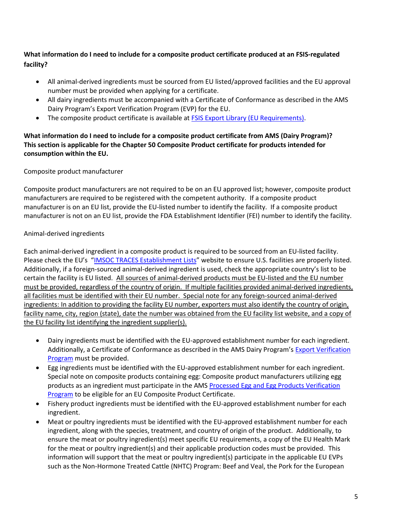# **What information do I need to include for a composite product certificate produced at an FSIS-regulated facility?**

- All animal-derived ingredients must be sourced from EU listed/approved facilities and the EU approval number must be provided when applying for a certificate.
- All dairy ingredients must be accompanied with a Certificate of Conformance as described in the AMS Dairy Program's Export Verification Program (EVP) for the EU.
- The composite product certificate is available a[t FSIS Export Library \(EU Requirements\).](https://www.fsis.usda.gov/inspection/import-export/import-export-library/european-union)

# **What information do I need to include for a composite product certificate from AMS (Dairy Program)? This section is applicable for the Chapter 50 Composite Product certificate for products intended for consumption within the EU.**

# Composite product manufacturer

Composite product manufacturers are not required to be on an EU approved list; however, composite product manufacturers are required to be registered with the competent authority. If a composite product manufacturer is on an EU list, provide the EU-listed number to identify the facility. If a composite product manufacturer is not on an EU list, provide the FDA Establishment Identifier (FEI) number to identify the facility.

# Animal-derived ingredients

Each animal-derived ingredient in a composite product is required to be sourced from an EU-listed facility. Please check the EU's "[IMSOC TRACES Establishment Lists](https://webgate.ec.europa.eu/tracesnt/directory/publication/establishment/index#!/search?sort=country.translation)" website to ensure U.S. facilities are properly listed. Additionally, if a foreign-sourced animal-derived ingredient is used, check the appropriate country's list to be certain the facility is EU listed. All sources of animal-derived products must be EU-listed and the EU number must be provided, regardless of the country of origin. If multiple facilities provided animal-derived ingredients, all facilities must be identified with their EU number. Special note for any foreign-sourced animal-derived ingredients: In addition to providing the facility EU number, exporters must also identify the country of origin, facility name, city, region (state), date the number was obtained from the EU facility list website, and a copy of the EU facility list identifying the ingredient supplier(s).

- Dairy ingredients must be identified with the EU-approved establishment number for each ingredient. Additionally, a Certificate of Conformance as described in the AMS Dairy Program's [Export Verification](https://www.ams.usda.gov/services/imports-exports/dairy-exports/eu-dairy-exports)  [Program](https://www.ams.usda.gov/services/imports-exports/dairy-exports/eu-dairy-exports) must be provided.
- Egg ingredients must be identified with the EU-approved establishment number for each ingredient. Special note on composite products containing egg: Composite product manufacturers utilizing egg products as an ingredient must participate in the AMS Processed Egg and [Egg Products Verification](https://www.ams.usda.gov/services/imports-exports/further-processed-egg-products-verification-program)  [Program](https://www.ams.usda.gov/services/imports-exports/further-processed-egg-products-verification-program) to be eligible for an EU Composite Product Certificate.
- Fishery product ingredients must be identified with the EU-approved establishment number for each ingredient.
- Meat or poultry ingredients must be identified with the EU-approved establishment number for each ingredient, along with the species, treatment, and country of origin of the product. Additionally, to ensure the meat or poultry ingredient(s) meet specific EU requirements, a copy of the EU Health Mark for the meat or poultry ingredient(s) and their applicable production codes must be provided. This information will support that the meat or poultry ingredient(s) participate in the applicable EU EVPs such as the Non-Hormone Treated Cattle (NHTC) Program: Beef and Veal, the Pork for the European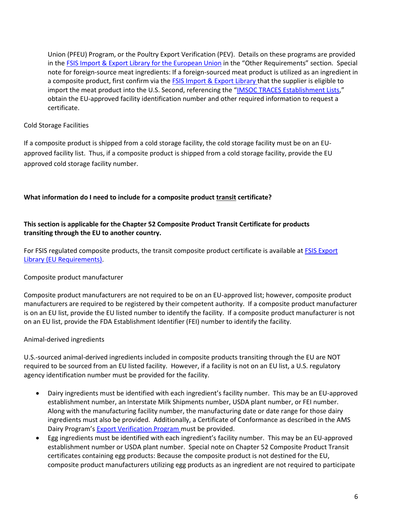Union (PFEU) Program, or the Poultry Export Verification (PEV). Details on these programs are provided in the [FSIS Import & Export Library for the European Union](https://www.fsis.usda.gov/inspection/import-export/import-export-library/european-union) in the "Other Requirements" section. Special note for foreign-source meat ingredients: If a foreign-sourced meat product is utilized as an ingredient in a composite product, first confirm via th[e FSIS Import & Export Library t](https://www.fsis.usda.gov/inspection/import-export/import-export-library)hat the supplier is eligible to import the meat product into the U.S. Second, referencing the "[IMSOC TRACES Establishment Lists](https://webgate.ec.europa.eu/tracesnt/directory/publication/establishment/index#!/search?sort=country.translation)," obtain the EU-approved facility identification number and other required information to request a certificate.

# Cold Storage Facilities

If a composite product is shipped from a cold storage facility, the cold storage facility must be on an EUapproved facility list. Thus, if a composite product is shipped from a cold storage facility, provide the EU approved cold storage facility number.

# **What information do I need to include for a composite product transit certificate?**

# **This section is applicable for the Chapter 52 Composite Product Transit Certificate for products transiting through the EU to another country.**

For FSIS regulated composite products, the transit composite product certificate is available at FSIS Export [Library \(EU Requirements\).](https://www.fsis.usda.gov/inspection/import-export/import-export-library/european-union)

# Composite product manufacturer

Composite product manufacturers are not required to be on an EU-approved list; however, composite product manufacturers are required to be registered by their competent authority. If a composite product manufacturer is on an EU list, provide the EU listed number to identify the facility. If a composite product manufacturer is not on an EU list, provide the FDA Establishment Identifier (FEI) number to identify the facility.

## Animal-derived ingredients

U.S.-sourced animal-derived ingredients included in composite products transiting through the EU are NOT required to be sourced from an EU listed facility. However, if a facility is not on an EU list, a U.S. regulatory agency identification number must be provided for the facility.

- Dairy ingredients must be identified with each ingredient's facility number. This may be an EU-approved establishment number, an Interstate Milk Shipments number, USDA plant number, or FEI number. Along with the manufacturing facility number, the manufacturing date or date range for those dairy ingredients must also be provided. Additionally, a Certificate of Conformance as described in the AMS Dairy Program's [Export Verification Program m](https://www.ams.usda.gov/services/imports-exports/dairy-exports/eu-dairy-exports)ust be provided.
- Egg ingredients must be identified with each ingredient's facility number. This may be an EU-approved establishment number or USDA plant number. Special note on Chapter 52 Composite Product Transit certificates containing egg products: Because the composite product is not destined for the EU, composite product manufacturers utilizing egg products as an ingredient are not required to participate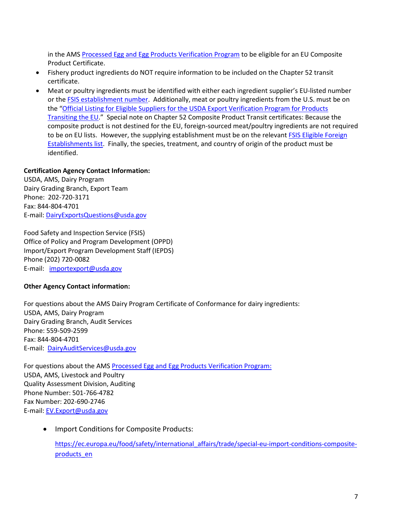in the AMS Processed Egg and [Egg Products Verification Program](https://www.ams.usda.gov/services/imports-exports/further-processed-egg-products-verification-program) to be eligible for an EU Composite Product Certificate.

- Fishery product ingredients do NOT require information to be included on the Chapter 52 transit certificate.
- Meat or poultry ingredients must be identified with either each ingredient supplier's EU-listed number or the [FSIS establishment number.](https://www.fsis.usda.gov/inspection/establishments) Additionally, meat or poultry ingredients from the U.S. must be on the "[Official Listing for Eligible Suppliers for the USDA Export Verification Program for Products](https://www.ams.usda.gov/services/imports-exports/products-transiting-eu)  [Transiting the EU](https://www.ams.usda.gov/services/imports-exports/products-transiting-eu)." Special note on Chapter 52 Composite Product Transit certificates: Because the composite product is not destined for the EU, foreign-sourced meat/poultry ingredients are not required to be on EU lists. However, the supplying establishment must be on the relevant FSIS Eligible Foreign [Establishments list.](https://www.fsis.usda.gov/inspection/import-export/import-export-library/eligible-foreign-establishments) Finally, the species, treatment, and country of origin of the product must be identified.

# **Certification Agency Contact Information:**

USDA, AMS, Dairy Program Dairy Grading Branch, Export Team Phone: 202-720-3171 Fax: 844-804-4701 E-mail: [DairyExportsQuestions@usda.gov](mailto:DairyExportsQuestions@usda.gov)

Food Safety and Inspection Service (FSIS) Office of Policy and Program Development (OPPD) Import/Export Program Development Staff (IEPDS) Phone (202) 720-0082 E-mail: [importexport@usda.gov](mailto:importexport@usda.gov)

## **Other Agency Contact information:**

For questions about the AMS Dairy Program Certificate of Conformance for dairy ingredients: USDA, AMS, Dairy Program Dairy Grading Branch, Audit Services Phone: 559-509-2599 Fax: 844-804-4701 E-mail: [DairyAuditServices@usda.gov](mailto:DairyAuditServices@usda.gov)

For questions about the AMS Processed Egg and [Egg Products Verification Program:](https://www.ams.usda.gov/services/imports-exports/further-processed-egg-products-verification-program) USDA, AMS, Livestock and Poultry Quality Assessment Division, Auditing Phone Number: 501-766-4782 Fax Number: 202-690-2746 E-mail: [EV.Export@usda.gov](mailto:EV.Export@usda.gov)

• Import Conditions for Composite Products:

[https://ec.europa.eu/food/safety/international\\_affairs/trade/special-eu-import-conditions-composite](https://ec.europa.eu/food/safety/international_affairs/trade/special-eu-import-conditions-composite-products_en)[products\\_en](https://ec.europa.eu/food/safety/international_affairs/trade/special-eu-import-conditions-composite-products_en)